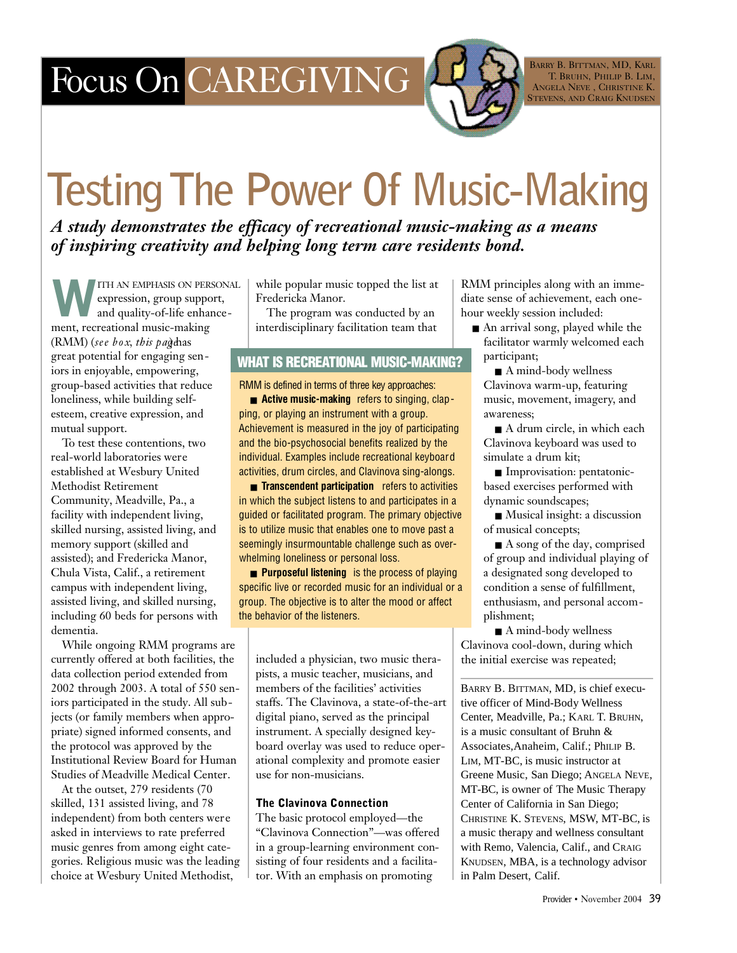## Focus On CAREGIVING

BARRY B. BITTMAN, MD, KARL T. BRUHN, PHILIP B. LIM, ANGELA NEVE, CHRISTINE K. STEVENS, AND CRAIG KNUDSEN

# **Testing The Power Of Music-Making**

*A study demonstrates the efficacy of recreational music-making as a means of inspiring creativity and helping long term care residents bond.* 

W ITH AN EMPHASIS ON PERSONAL expression, group support, and quality-of-life enhancement, recreational music-making (RMM) (*see box, this pagelas*) great potential for engaging seniors in enjoyable, empowering, group-based activities that reduce loneliness, while building selfesteem, creative expression, and mutual support.

To test these contentions, two real-world laboratories were established at Wesbury United Methodist Retirement Community, Meadville, Pa., a facility with independent living, skilled nursing, assisted living, and memory support (skilled and assisted); and Fredericka Manor, Chula Vista, Calif., a retirement campus with independent living, assisted living, and skilled nursing, including 60 beds for persons with dementia.

While ongoing RMM programs are currently offered at both facilities, the data collection period extended from 2002 through 2003. A total of 550 seniors participated in the study. All subjects (or family members when appropriate) signed informed consents, and the protocol was approved by the Institutional Review Board for Human Studies of Meadville Medical Center.

At the outset, 279 residents (70 skilled, 131 assisted living, and 78 independent) from both centers were asked in interviews to rate preferred music genres from among eight categories. Religious music was the leading choice at Wesbury United Methodist,

while popular music topped the list at Fredericka Manor.

The program was conducted by an interdisciplinary facilitation team that

## WHAT IS RECREATIONAL MUSIC-MAKING?

RMM is defined in terms of three key approaches: ■ **Active music-making** refers to singing, clapping, or playing an instrument with a group. Achievement is measured in the joy of participating and the bio-psychosocial benefits realized by the individual. Examples include recreational keyboard activities, drum circles, and Clavinova sing-alongs.

■ **Transcendent participation** refers to activities in which the subject listens to and participates in a guided or facilitated program. The primary objective is to utilize music that enables one to move past a seemingly insurmountable challenge such as overwhelming loneliness or personal loss.

■ **Purposeful listening** is the process of playing specific live or recorded music for an individual or a group. The objective is to alter the mood or affect the behavior of the listeners.

included a physician, two music therapists, a music teacher, musicians, and members of the facilities' activities staffs. The Clavinova, a state-of-the-art digital piano, served as the principal instrument. A specially designed keyboard overlay was used to reduce operational complexity and promote easier use for non-musicians.

### The Clavinova Connection

The basic protocol employed—the "Clavinova Connection"—was offered in a group-learning environment consisting of four residents and a facilitator. With an emphasis on promoting

RMM principles along with an immediate sense of achievement, each onehour weekly session included:

■ An arrival song, played while the facilitator warmly welcomed each participant;

■ A mind-body wellness Clavinova warm-up, featuring music, movement, imagery, and awareness;

■ A drum circle, in which each Clavinova keyboard was used to simulate a drum kit;

■ Improvisation: pentatonicbased exercises performed with dynamic soundscapes;

■ Musical insight: a discussion of musical concepts;

■ A song of the day, comprised of group and individual playing of a designated song developed to condition a sense of fulfillment, enthusiasm, and personal accomplishment;

■ A mind-body wellness Clavinova cool-down, during which the initial exercise was repeated;

BARRY B. BITTMAN, MD, is chief executive officer of Mind-Body Wellness Center, Meadville, Pa.; KARL T. BRUHN, is a music consultant of Bruhn & Associates,Anaheim, Calif.; PhILIP B. LIM, MT-BC, is music instructor at Greene Music, San Diego; ANGELA NEVE, MT-BC, is owner of The Music Therapy Center of California in San Diego; CHRISTINE K. STEVENS, MSW, MT-BC, is a music therapy and wellness consultant with Remo, Valencia, Calif., and CRAIG KNUDSEN, MBA, is a technology advisor in Palm Desert, Calif.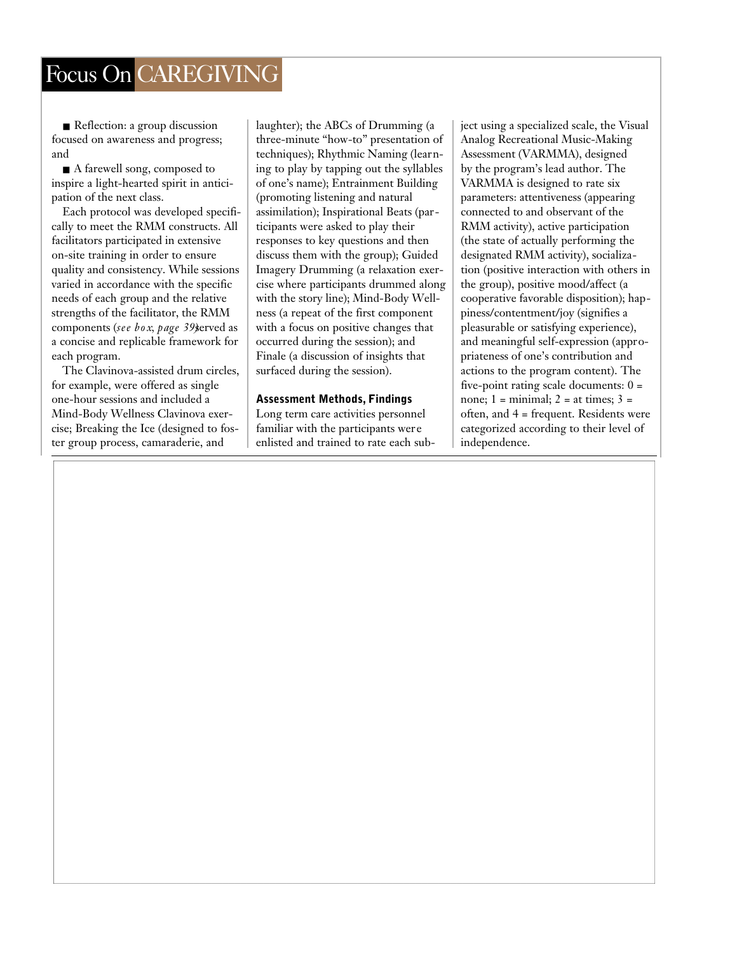## Focus On CAREGIVING

■ Reflection: a group discussion focused on awareness and progress; and

■ A farewell song, composed to inspire a light-hearted spirit in anticipation of the next class.

Each protocol was developed specifically to meet the RMM constructs. All facilitators participated in extensive on-site training in order to ensure quality and consistency. While sessions varied in accordance with the specific needs of each group and the relative strengths of the facilitator, the RMM components (*see box, page 39)*served as a concise and replicable framework for each program.

The Clavinova-assisted drum circles, for example, were offered as single one-hour sessions and included a Mind-Body Wellness Clavinova exercise; Breaking the Ice (designed to foster group process, camaraderie, and

laughter); the ABCs of Drumming (a three-minute "how-to" presentation of techniques); Rhythmic Naming (learning to play by tapping out the syllables of one's name); Entrainment Building (promoting listening and natural assimilation); Inspirational Beats (participants were asked to play their responses to key questions and then discuss them with the group); Guided Imagery Drumming (a relaxation exercise where participants drummed along with the story line); Mind-Body Wellness (a repeat of the first component with a focus on positive changes that occurred during the session); and Finale (a discussion of insights that surfaced during the session).

#### Assessment Methods, Findings

Long term care activities personnel familiar with the participants were enlisted and trained to rate each sub-

ject using a specialized scale, the Visual Analog Recreational Music-Making Assessment (VARMMA), designed by the program's lead author. The VARMMA is designed to rate six parameters: attentiveness (appearing connected to and observant of the RMM activity), active participation (the state of actually performing the designated RMM activity), socialization (positive interaction with others in the group), positive mood/affect (a cooperative favorable disposition); happiness/contentment/joy (signifies a pleasurable or satisfying experience), and meaningful self-expression (appropriateness of one's contribution and actions to the program content). The five-point rating scale documents:  $0 =$ none;  $1 = \text{minimal}$ ;  $2 = \text{at times}$ ;  $3 = \text{square}$ often, and 4 = frequent. Residents were categorized according to their level of independence.